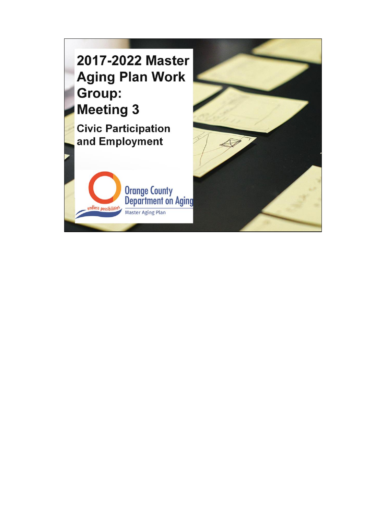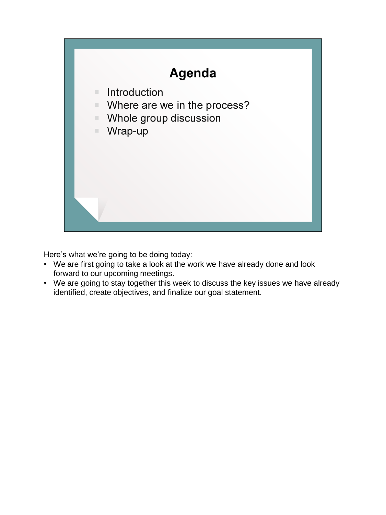

Here's what we're going to be doing today:

- We are first going to take a look at the work we have already done and look forward to our upcoming meetings.
- We are going to stay together this week to discuss the key issues we have already identified, create objectives, and finalize our goal statement.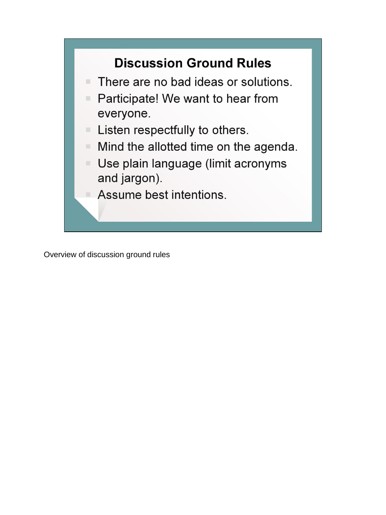## **Discussion Ground Rules**

- There are no bad ideas or solutions.
- Participate! We want to hear from everyone.
- Listen respectfully to others.
- Mind the allotted time on the agenda.
- Use plain language (limit acronyms and jargon).
	- Assume best intentions.

Overview of discussion ground rules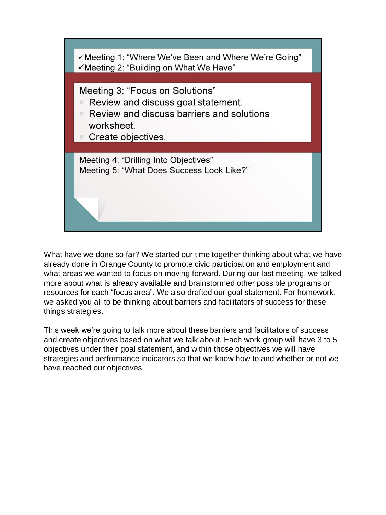

What have we done so far? We started our time together thinking about what we have already done in Orange County to promote civic participation and employment and what areas we wanted to focus on moving forward. During our last meeting, we talked more about what is already available and brainstormed other possible programs or resources for each "focus area". We also drafted our goal statement. For homework, we asked you all to be thinking about barriers and facilitators of success for these things strategies.

This week we're going to talk more about these barriers and facilitators of success and create objectives based on what we talk about. Each work group will have 3 to 5 objectives under their goal statement, and within those objectives we will have strategies and performance indicators so that we know how to and whether or not we have reached our objectives.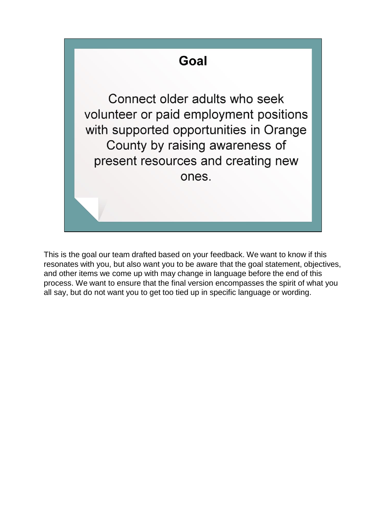

This is the goal our team drafted based on your feedback. We want to know if this resonates with you, but also want you to be aware that the goal statement, objectives, and other items we come up with may change in language before the end of this process. We want to ensure that the final version encompasses the spirit of what you all say, but do not want you to get too tied up in specific language or wording.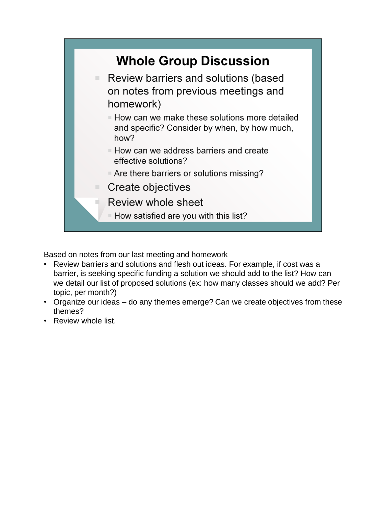

Based on notes from our last meeting and homework

- Review barriers and solutions and flesh out ideas. For example, if cost was a barrier, is seeking specific funding a solution we should add to the list? How can we detail our list of proposed solutions (ex: how many classes should we add? Per topic, per month?)
- Organize our ideas do any themes emerge? Can we create objectives from these themes?
- Review whole list.